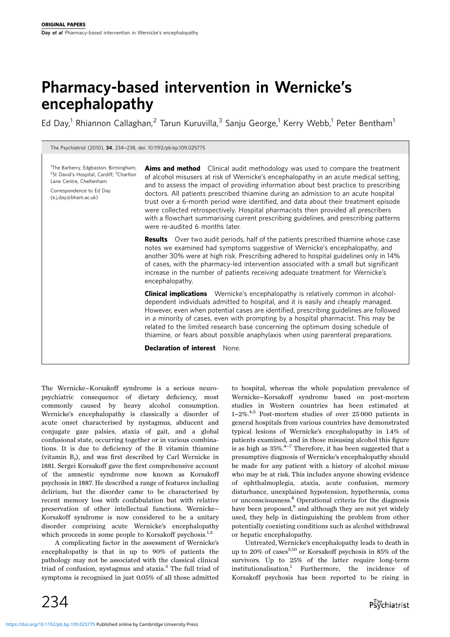# Pharmacy-based intervention in Wernicke's encephalopathy

Ed Day,<sup>1</sup> Rhiannon Callaghan,<sup>2</sup> Tarun Kuruvilla,<sup>3</sup> Sanju George,<sup>1</sup> Kerry Webb,<sup>1</sup> Peter Bentham<sup>1</sup>

The Psychiatrist (2010), <sup>34</sup>, 234-238, doi: 10.1192/pb.bp.109.025775

<sup>1</sup>The Barberry, Edgbaston, Birmingham; <sup>2</sup>St David's Hospital, Cardiff; <sup>3</sup>Charlton Lane Centre, Cheltenham

Correspondence to Ed Day (e.j.day@bham.ac.uk)

Aims and method Clinical audit methodology was used to compare the treatment of alcohol misusers at risk of Wernicke's encephalopathy in an acute medical setting, and to assess the impact of providing information about best practice to prescribing doctors. All patients prescribed thiamine during an admission to an acute hospital trust over a 6-month period were identified, and data about their treatment episode were collected retrospectively. Hospital pharmacists then provided all prescribers with a flowchart summarising current prescribing guidelines, and prescribing patterns were re-audited 6 months later.

**Results** Over two audit periods, half of the patients prescribed thiamine whose case notes we examined had symptoms suggestive of Wernicke's encephalopathy, and another 30% were at high risk. Prescribing adhered to hospital guidelines only in 14% of cases, with the pharmacy-led intervention associated with a small but significant increase in the number of patients receiving adequate treatment for Wernicke's encephalopathy.

**Clinical implications** Wernicke's encephalopathy is relatively common in alcoholdependent individuals admitted to hospital, and it is easily and cheaply managed. However, even when potential cases are identified, prescribing guidelines are followed in a minority of cases, even with prompting by a hospital pharmacist. This may be related to the limited research base concerning the optimum dosing schedule of thiamine, or fears about possible anaphylaxis when using parenteral preparations.

Declaration of interest None.

The Wernicke-Korsakoff syndrome is a serious neuropsychiatric consequence of dietary deficiency, most commonly caused by heavy alcohol consumption. Wernicke's encephalopathy is classically a disorder of acute onset characterised by nystagmus, abducent and conjugate gaze palsies, ataxia of gait, and a global confusional state, occurring together or in various combinations. It is due to deficiency of the B vitamin thiamine (vitamin  $B_1$ ), and was first described by Carl Wernicke in 1881. Sergei Korsakoff gave the first comprehensive account of the amnestic syndrome now known as Korsakoff psychosis in 1887. He described a range of features including delirium, but the disorder came to be characterised by recent memory loss with confabulation but with relative preservation of other intellectual functions. Wernicke-Korsakoff syndrome is now considered to be a unitary disorder comprising acute Wernicke's encephalopathy which proceeds in some people to Korsakoff psychosis.<sup>1,2</sup>

A complicating factor in the assessment of Wernicke's encephalopathy is that in up to 90% of patients the pathology may not be associated with the classical clinical triad of confusion, nystagmus and ataxia.3 The full triad of symptoms is recognised in just 0.05% of all those admitted

to hospital, whereas the whole population prevalence of Wernicke-Korsakoff syndrome based on post-mortem studies in Western countries has been estimated at  $1-2\%$ <sup>4,5</sup> Post-mortem studies of over 25000 patients in general hospitals from various countries have demonstrated typical lesions of Wernicke's encephalopathy in 1.4% of patients examined, and in those misusing alcohol this figure is as high as  $35\%$ .<sup>4-7</sup> Therefore, it has been suggested that a presumptive diagnosis of Wernicke's encephalopathy should be made for any patient with a history of alcohol misuse who may be at risk. This includes anyone showing evidence of ophthalmoplegia, ataxia, acute confusion, memory disturbance, unexplained hypotension, hypothermia, coma or unconsciousness.8 Operational criteria for the diagnosis have been proposed,<sup>9</sup> and although they are not yet widely used, they help in distinguishing the problem from other potentially coexisting conditions such as alcohol withdrawal or hepatic encephalopathy.

Untreated, Wernicke's encephalopathy leads to death in up to 20% of cases<sup>3,10</sup> or Korsakoff psychosis in 85% of the survivors. Up to 25% of the latter require long-term institutionalisation.<sup>1</sup> Furthermore, the incidence of Korsakoff psychosis has been reported to be rising in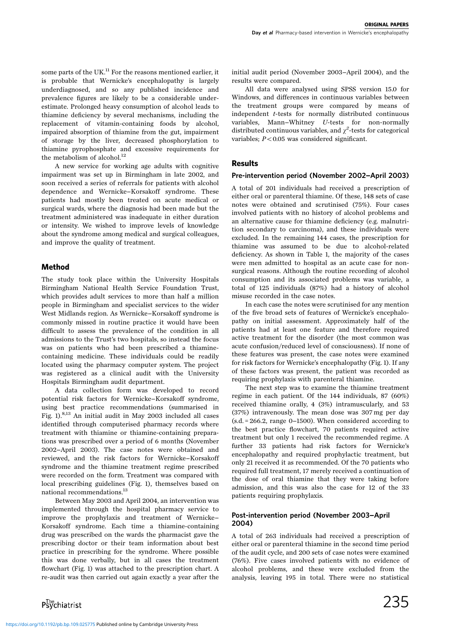some parts of the UK.<sup>11</sup> For the reasons mentioned earlier, it is probable that Wernicke's encephalopathy is largely underdiagnosed, and so any published incidence and prevalence figures are likely to be a considerable underestimate. Prolonged heavy consumption of alcohol leads to thiamine deficiency by several mechanisms, including the replacement of vitamin-containing foods by alcohol, impaired absorption of thiamine from the gut, impairment of storage by the liver, decreased phosphorylation to thiamine pyrophosphate and excessive requirements for the metabolism of alcohol. $^{12}$ 

A new service for working age adults with cognitive impairment was set up in Birmingham in late 2002, and soon received a series of referrals for patients with alcohol dependence and Wernicke-Korsakoff syndrome. These patients had mostly been treated on acute medical or surgical wards, where the diagnosis had been made but the treatment administered was inadequate in either duration or intensity. We wished to improve levels of knowledge about the syndrome among medical and surgical colleagues, and improve the quality of treatment.

# Method

The study took place within the University Hospitals Birmingham National Health Service Foundation Trust, which provides adult services to more than half a million people in Birmingham and specialist services to the wider West Midlands region. As Wernicke-Korsakoff syndrome is commonly missed in routine practice it would have been difficult to assess the prevalence of the condition in all admissions to the Trust's two hospitals, so instead the focus was on patients who had been prescribed a thiaminecontaining medicine. These individuals could be readily located using the pharmacy computer system. The project was registered as a clinical audit with the University Hospitals Birmingham audit department.

A data collection form was developed to record potential risk factors for Wernicke-Korsakoff syndrome, using best practice recommendations (summarised in Fig. 1).8,13 An initial audit in May 2003 included all cases identified through computerised pharmacy records where treatment with thiamine or thiamine-containing preparations was prescribed over a period of 6 months (November 2002-April 2003). The case notes were obtained and reviewed, and the risk factors for Wernicke-Korsakoff syndrome and the thiamine treatment regime prescribed were recorded on the form. Treatment was compared with local prescribing guidelines (Fig. 1), themselves based on national recommendations.<sup>13</sup>

Between May 2003 and April 2004, an intervention was implemented through the hospital pharmacy service to improve the prophylaxis and treatment of Wernicke-Korsakoff syndrome. Each time a thiamine-containing drug was prescribed on the wards the pharmacist gave the prescribing doctor or their team information about best practice in prescribing for the syndrome. Where possible this was done verbally, but in all cases the treatment flowchart (Fig. 1) was attached to the prescription chart. A re-audit was then carried out again exactly a year after the

Psychiatrist

initial audit period (November 2003-April 2004), and the results were compared.

All data were analysed using SPSS version 15.0 for Windows, and differences in continuous variables between the treatment groups were compared by means of independent t-tests for normally distributed continuous variables, Mann-Whitney <sup>U</sup>-tests for non-normally distributed continuous variables, and  $\chi^2$ -tests for categorical variables;  $P < 0.05$  was considered significant.

# Results

#### Pre-intervention period (November 2002-April 2003)

A total of 201 individuals had received a prescription of either oral or parenteral thiamine. Of these, 148 sets of case notes were obtained and scrutinised (75%). Four cases involved patients with no history of alcohol problems and an alternative cause for thiamine deficiency (e.g. malnutrition secondary to carcinoma), and these individuals were excluded. In the remaining 144 cases, the prescription for thiamine was assumed to be due to alcohol-related deficiency. As shown in Table 1, the majority of the cases were men admitted to hospital as an acute case for nonsurgical reasons. Although the routine recording of alcohol consumption and its associated problems was variable, a total of 125 individuals (87%) had a history of alcohol misuse recorded in the case notes.

In each case the notes were scrutinised for any mention of the five broad sets of features of Wernicke's encephalopathy on initial assessment. Approximately half of the patients had at least one feature and therefore required active treatment for the disorder (the most common was acute confusion/reduced level of consciousness). If none of these features was present, the case notes were examined for risk factors for Wernicke's encephalopathy (Fig. 1). If any of these factors was present, the patient was recorded as requiring prophylaxis with parenteral thiamine.

The next step was to examine the thiamine treatment regime in each patient. Of the 144 individuals, 87 (60%) received thiamine orally, 4 (3%) intramuscularly, and 53 (37%) intravenously. The mean dose was 307 mg per day (s.d. = 266.2, range 0-1500). When considered according to the best practice flowchart, 70 patients required active treatment but only 1 received the recommended regime. A further 33 patients had risk factors for Wernicke's encephalopathy and required prophylactic treatment, but only 21 received it as recommended. Of the 70 patients who required full treatment, 17 merely received a continuation of the dose of oral thiamine that they were taking before admission, and this was also the case for 12 of the 33 patients requiring prophylaxis.

#### Post-intervention period (November 2003-April 2004)

A total of 263 individuals had received a prescription of either oral or parenteral thiamine in the second time period of the audit cycle, and 200 sets of case notes were examined (76%). Five cases involved patients with no evidence of alcohol problems, and these were excluded from the analysis, leaving 195 in total. There were no statistical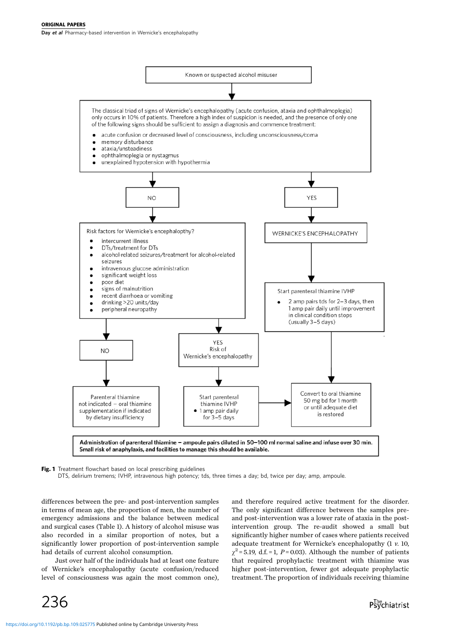Day et al Pharmacy-based intervention in Wernicke's encephalopathy



Fig. 1 Treatment flowchart based on local prescribing guidelines

DTS, delirium tremens; IVHP, intravenous high potency; tds, three times a day; bd, twice per day; amp, ampoule.

differences between the pre- and post-intervention samples in terms of mean age, the proportion of men, the number of emergency admissions and the balance between medical and surgical cases (Table 1). A history of alcohol misuse was also recorded in a similar proportion of notes, but a significantly lower proportion of post-intervention sample had details of current alcohol consumption.

Just over half of the individuals had at least one feature of Wernicke's encephalopathy (acute confusion/reduced level of consciousness was again the most common one), and therefore required active treatment for the disorder. The only significant difference between the samples preand post-intervention was a lower rate of ataxia in the postintervention group. The re-audit showed a small but significantly higher number of cases where patients received adequate treatment for Wernicke's encephalopathy (1 v. 10,  $\gamma^2$  = 5.19, d.f. = 1, P = 0.03). Although the number of patients that required prophylactic treatment with thiamine was higher post-intervention, fewer got adequate prophylactic treatment. The proportion of individuals receiving thiamine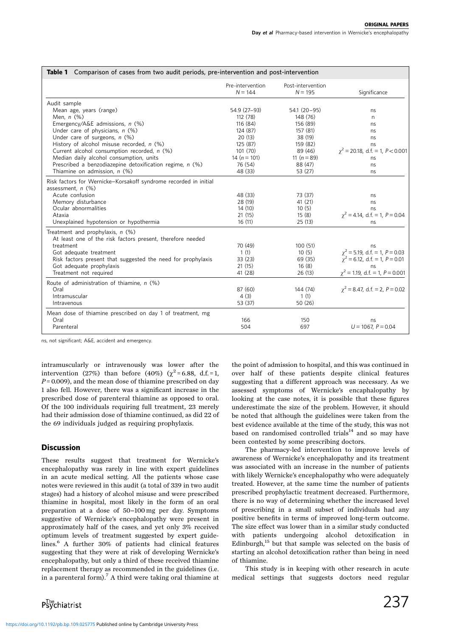| <b>Table 1</b> Comparison of cases from two audit periods, pre-intervention and post-intervention |                               |                                |                                                                            |
|---------------------------------------------------------------------------------------------------|-------------------------------|--------------------------------|----------------------------------------------------------------------------|
|                                                                                                   | Pre-intervention<br>$N = 144$ | Post-intervention<br>$N = 195$ | Significance                                                               |
| Audit sample                                                                                      |                               |                                |                                                                            |
| Mean age, years (range)                                                                           | 54.9 (27-93)                  | $54.1 (20 - 95)$               | ns                                                                         |
| Men. $n$ $(\%)$                                                                                   | 112(78)                       | 148 (76)                       | n                                                                          |
| Emergency/A&E admissions, n (%)                                                                   | 116 (84)                      | 156 (89)                       | ns                                                                         |
| Under care of physicians, $n$ (%)                                                                 | 124 (87)                      | 157 (81)                       | ns                                                                         |
| Under care of surgeons, $n$ (%)                                                                   | 20(13)                        | 38 (19)                        | ns                                                                         |
| History of alcohol misuse recorded, n (%)                                                         | 125 (87)                      | 159 (82)                       | ns                                                                         |
| Current alcohol consumption recorded, n (%)                                                       | 101(70)                       | 89 (46)                        | $\gamma^2$ = 20.18, d.f. = 1, P < 0.001                                    |
| Median daily alcohol consumption, units                                                           | 14 $(n = 101)$                | 11 $(n = 89)$                  | ns                                                                         |
| Prescribed a benzodiazepine detoxification regime, n (%)                                          | 76 (54)                       | 88 (47)                        | ns                                                                         |
| Thiamine on admission, $n$ (%)                                                                    | 48 (33)                       | 53 (27)                        | ns                                                                         |
| Risk factors for Wernicke-Korsakoff syndrome recorded in initial<br>assessment, $n$ (%)           |                               |                                |                                                                            |
| Acute confusion                                                                                   | 48 (33)                       | 73 (37)                        | ns                                                                         |
| Memory disturbance                                                                                | 28 (19)                       | 41(21)                         | ns                                                                         |
| Ocular abnormalities                                                                              | 14(10)                        | 10(5)                          | ns                                                                         |
| Ataxia                                                                                            | 21(15)                        | 15(8)                          | $\gamma^2$ = 4.14, d.f. = 1, P = 0.04                                      |
| Unexplained hypotension or hypothermia                                                            | 16(11)                        | 25(13)                         | ns                                                                         |
| Treatment and prophylaxis, n (%)<br>At least one of the risk factors present, therefore needed    |                               |                                |                                                                            |
| treatment                                                                                         | 70 (49)                       | 100(51)                        | ns                                                                         |
| Got adequate treatment                                                                            | 1(1)                          | 10(5)                          | $\chi^2$ = 5.19, d.f. = 1, P = 0.03<br>$\chi^2$ = 6.12, d.f. = 1, P = 0.01 |
| Risk factors present that suggested the need for prophylaxis                                      | 33(23)                        | 69 (35)                        |                                                                            |
| Got adequate prophylaxis                                                                          | 21(15)                        | 16(8)                          | ns                                                                         |
| Treatment not required                                                                            | 41 (28)                       | 26(13)                         | $\chi^2$ = 1.19, d.f. = 1, P = 0.001                                       |
| Route of administration of thiamine, n (%)                                                        |                               |                                |                                                                            |
| Oral                                                                                              | 87 (60)                       | 144 (74)                       | $\gamma^2$ = 8.47, d.f. = 2, P = 0.02                                      |
| Intramuscular                                                                                     | 4(3)                          | 1(1)                           |                                                                            |
| Intravenous                                                                                       | 53 (37)                       | 50(26)                         |                                                                            |
| Mean dose of thiamine prescribed on day 1 of treatment, mg                                        |                               |                                |                                                                            |
| Oral                                                                                              | 166                           | 150                            | ns                                                                         |
| Parenteral                                                                                        | 504                           | 697                            | $U = 1067, P = 0.04$                                                       |
|                                                                                                   |                               |                                |                                                                            |

ns, not significant; A&E, accident and emergency.

intramuscularly or intravenously was lower after the intervention (27%) than before (40%) ( $\chi^2$ =6.88, d.f.=1,  $P = 0.009$ , and the mean dose of thiamine prescribed on day 1 also fell. However, there was a significant increase in the prescribed dose of parenteral thiamine as opposed to oral. Of the 100 individuals requiring full treatment, 23 merely had their admission dose of thiamine continued, as did 22 of the 69 individuals judged as requiring prophylaxis.

# **Discussion**

These results suggest that treatment for Wernicke's encephalopathy was rarely in line with expert guidelines in an acute medical setting. All the patients whose case notes were reviewed in this audit (a total of 339 in two audit stages) had a history of alcohol misuse and were prescribed thiamine in hospital, most likely in the form of an oral preparation at a dose of 50-100 mg per day. Symptoms suggestive of Wernicke's encephalopathy were present in approximately half of the cases, and yet only 3% received optimum levels of treatment suggested by expert guidelines.<sup>6</sup> A further 30% of patients had clinical features suggesting that they were at risk of developing Wernicke's encephalopathy, but only a third of these received thiamine replacement therapy as recommended in the guidelines (i.e. in a parenteral form).<sup>7</sup> A third were taking oral thiamine at the point of admission to hospital, and this was continued in over half of these patients despite clinical features suggesting that a different approach was necessary. As we assessed symptoms of Wernicke's encaphalopathy by looking at the case notes, it is possible that these figures underestimate the size of the problem. However, it should be noted that although the guidelines were taken from the best evidence available at the time of the study, this was not based on randomised controlled trials $14$  and so may have been contested by some prescribing doctors.

The pharmacy-led intervention to improve levels of awareness of Wernicke's encephalopathy and its treatment was associated with an increase in the number of patients with likely Wernicke's encephalopathy who were adequately treated. However, at the same time the number of patients prescribed prophylactic treatment decreased. Furthermore, there is no way of determining whether the increased level of prescribing in a small subset of individuals had any positive benefits in terms of improved long-term outcome. The size effect was lower than in a similar study conducted with patients undergoing alcohol detoxification in Edinburgh, $^{15}$  but that sample was selected on the basis of starting an alcohol detoxification rather than being in need of thiamine.

This study is in keeping with other research in acute medical settings that suggests doctors need regular